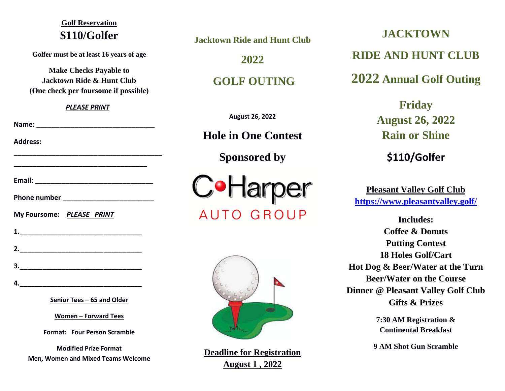# **Golf Reservation \$110/Golfer**

**Golfer must be at least 16 years of age**

**Make Checks Payable to Jacktown Ride & Hunt Club (One check per foursome if possible)**

### *PLEASE PRINT*

**\_\_\_\_\_\_\_\_\_\_\_\_\_\_\_\_\_\_\_\_\_\_\_\_\_\_\_\_\_\_\_\_\_\_\_\_\_\_\_**

**\_\_\_\_\_\_\_\_\_\_\_\_\_\_\_\_\_\_\_\_\_\_\_\_\_\_\_\_\_\_\_\_\_\_\_**

**Name: \_\_\_\_\_\_\_\_\_\_\_\_\_\_\_\_\_\_\_\_\_\_\_\_\_\_\_\_\_\_\_**

**Address:** 

| Email:              |  |  |
|---------------------|--|--|
| <b>Phone number</b> |  |  |

**1.\_\_\_\_\_\_\_\_\_\_\_\_\_\_\_\_\_\_\_\_\_\_\_\_\_\_\_\_\_\_\_\_**

**2.\_\_\_\_\_\_\_\_\_\_\_\_\_\_\_\_\_\_\_\_\_\_\_\_\_\_\_\_\_\_\_\_**

**3.\_\_\_\_\_\_\_\_\_\_\_\_\_\_\_\_\_\_\_\_\_\_\_\_\_\_\_\_\_\_\_\_**

**My Foursome:** *PLEASE PRINT*

**Senior Tees – 65 and Older**

**Women – Forward Tees**

**Format: Four Person Scramble**

**Modified Prize Format Men, Women and Mixed Teams Welcome** **Jacktown Ride and Hunt Club**

**2022**

**GOLF OUTING**

**August 26, 2022**

**Hole in One Contest**

**Sponsored by**

CoHarper **AUTO GROUP** 



**Deadline for Registration August 1 , 2022**

**JACKTOWN RIDE AND HUNT CLUB 2022 Annual Golf Outing**

> **Friday August 26, 2022 Rain or Shine**

> > **\$110/Golfer**

**Pleasant Valley Golf Club <https://www.pleasantvalley.golf/>**

**Includes: Coffee & Donuts Putting Contest 18 Holes Golf/Cart Hot Dog & Beer/Water at the Turn Beer/Water on the Course Dinner @ Pleasant Valley Golf Club Gifts & Prizes**

> **7:30 AM Registration & Continental Breakfast**

**9 AM Shot Gun Scramble**